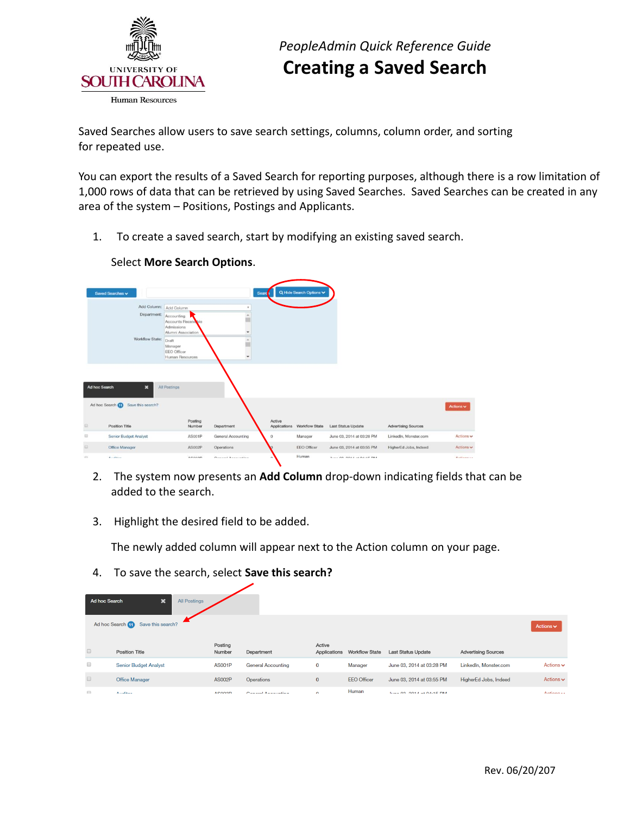

 Saved Searches allow users to save search settings, columns, column order, and sorting for repeated use.

 You can export the results of a Saved Search for reporting purposes, although there is a row limitation of 1,000 rows of data that can be retrieved by using Saved Searches. Saved Searches can be created in any area of the system – Positions, Postings and Applicants.

1. To create a saved search, start by modifying an existing saved search.



## Select **More Search Options**.

- 2. The system now presents an **Add Column** drop-down indicating fields that can be added to the search.
- 3. Highlight the desired field to be added.

The newly added column will appear next to the Action column on your page.

4. To save the search, select **Save this search?** 

| Ad hoc Search                                            | $\boldsymbol{\mathsf{x}}$<br><b>All Postings</b> |                   |                           |                        |                       |                                  |                            |                               |
|----------------------------------------------------------|--------------------------------------------------|-------------------|---------------------------|------------------------|-----------------------|----------------------------------|----------------------------|-------------------------------|
| Ad hoc Search (1)<br>Save this search?<br>Actions $\vee$ |                                                  |                   |                           |                        |                       |                                  |                            |                               |
| $\qquad \qquad \Box$                                     | <b>Position Title</b>                            | Posting<br>Number | Department                | Active<br>Applications | <b>Workflow State</b> | <b>Last Status Update</b>        | <b>Advertising Sources</b> |                               |
| $\qquad \qquad \Box$                                     | <b>Senior Budget Analyst</b>                     | <b>AS001P</b>     | <b>General Accounting</b> | $\mathbf 0$            | Manager               | June 03, 2014 at 03:28 PM        | LinkedIn, Monster.com      | Actions $\mathbf{\checkmark}$ |
| $\qquad \qquad \Box$                                     | <b>Office Manager</b>                            | <b>AS002P</b>     | Operations                | $\mathbf{0}$           | <b>EEO Officer</b>    | June 03, 2014 at 03:55 PM        | HigherEd Jobs, Indeed      | Actions $\sim$                |
| $\Box$                                                   | Accellinate                                      | ACOOOD            | Conceal Announction       | $\sim$                 | Human                 | <b>Luis 00, 0014 at 04:45 DM</b> |                            | Actiona                       |